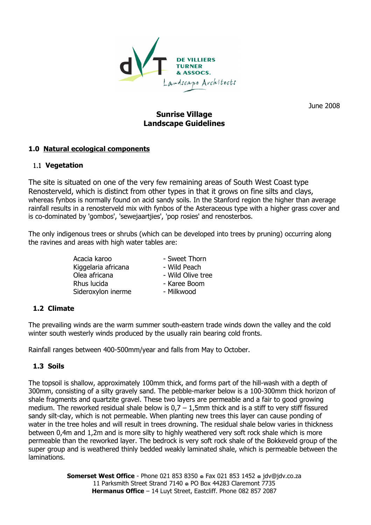

June 2008

# Sunrise Village Landscape Guidelines

# 1.0 Natural ecological components

# 1.1 Vegetation

The site is situated on one of the very few remaining areas of South West Coast type Renosterveld, which is distinct from other types in that it grows on fine silts and clays, whereas fynbos is normally found on acid sandy soils. In the Stanford region the higher than average rainfall results in a renosterveld mix with fynbos of the Asteraceous type with a higher grass cover and is co-dominated by 'gombos', 'sewejaartjies', 'pop rosies' and renosterbos.

The only indigenous trees or shrubs (which can be developed into trees by pruning) occurring along the ravines and areas with high water tables are:

> Acacia karoo - Sweet Thorn Kiggelaria africana Olea africana - Wild Olive tree Rhus lucida - Karee Boom Sideroxylon inerme - Milkwood

# 1.2 Climate

The prevailing winds are the warm summer south-eastern trade winds down the valley and the cold winter south westerly winds produced by the usually rain bearing cold fronts.

Rainfall ranges between 400-500mm/year and falls from May to October.

# 1.3 Soils

The topsoil is shallow, approximately 100mm thick, and forms part of the hill-wash with a depth of 300mm, consisting of a silty gravely sand. The pebble-marker below is a 100-300mm thick horizon of shale fragments and quartzite gravel. These two layers are permeable and a fair to good growing medium. The reworked residual shale below is  $0.7 - 1.5$ mm thick and is a stiff to very stiff fissured sandy silt-clay, which is not permeable. When planting new trees this layer can cause ponding of water in the tree holes and will result in trees drowning. The residual shale below varies in thickness between 0,4m and 1,2m and is more silty to highly weathered very soft rock shale which is more permeable than the reworked layer. The bedrock is very soft rock shale of the Bokkeveld group of the super group and is weathered thinly bedded weakly laminated shale, which is permeable between the laminations.

> Somerset West Office - Phone 021 853 8350 . Fax 021 853 1452 . idv@idv.co.za 11 Parksmith Street Strand 7140 . PO Box 44283 Claremont 7735 Hermanus Office - 14 Luyt Street, Eastcliff. Phone 082 857 2087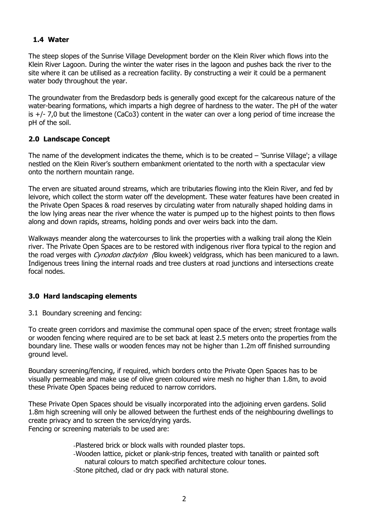# 1.4 Water

The steep slopes of the Sunrise Village Development border on the Klein River which flows into the Klein River Lagoon. During the winter the water rises in the lagoon and pushes back the river to the site where it can be utilised as a recreation facility. By constructing a weir it could be a permanent water body throughout the year.

The groundwater from the Bredasdorp beds is generally good except for the calcareous nature of the water-bearing formations, which imparts a high degree of hardness to the water. The pH of the water is  $+/-$  7,0 but the limestone (CaCo3) content in the water can over a long period of time increase the pH of the soil.

# 2.0 Landscape Concept

The name of the development indicates the theme, which is to be created – 'Sunrise Village'; a village nestled on the Klein River's southern embankment orientated to the north with a spectacular view onto the northern mountain range.

The erven are situated around streams, which are tributaries flowing into the Klein River, and fed by leivore, which collect the storm water off the development. These water features have been created in the Private Open Spaces & road reserves by circulating water from naturally shaped holding dams in the low lying areas near the river whence the water is pumped up to the highest points to then flows along and down rapids, streams, holding ponds and over weirs back into the dam.

Walkways meander along the watercourses to link the properties with a walking trail along the Klein river. The Private Open Spaces are to be restored with indigenous river flora typical to the region and the road verges with Cynodon dactylon (Blou kweek) veldgrass, which has been manicured to a lawn. Indigenous trees lining the internal roads and tree clusters at road junctions and intersections create focal nodes.

# 3.0 Hard landscaping elements

3.1 Boundary screening and fencing:

To create green corridors and maximise the communal open space of the erven; street frontage walls or wooden fencing where required are to be set back at least 2.5 meters onto the properties from the boundary line. These walls or wooden fences may not be higher than 1.2m off finished surrounding ground level.

Boundary screening/fencing, if required, which borders onto the Private Open Spaces has to be visually permeable and make use of olive green coloured wire mesh no higher than 1.8m, to avoid these Private Open Spaces being reduced to narrow corridors.

These Private Open Spaces should be visually incorporated into the adjoining erven gardens. Solid 1.8m high screening will only be allowed between the furthest ends of the neighbouring dwellings to create privacy and to screen the service/drying yards. Fencing or screening materials to be used are:

-Plastered brick or block walls with rounded plaster tops.

-Wooden lattice, picket or plank-strip fences, treated with tanalith or painted soft natural colours to match specified architecture colour tones.

-Stone pitched, clad or dry pack with natural stone.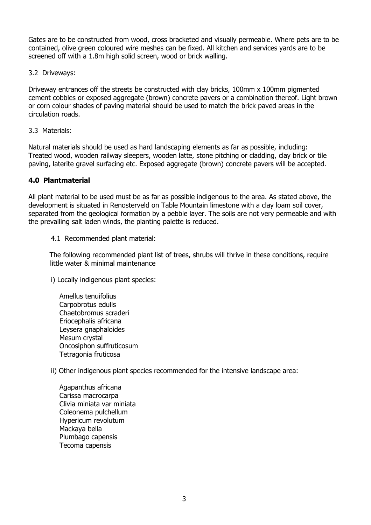Gates are to be constructed from wood, cross bracketed and visually permeable. Where pets are to be contained, olive green coloured wire meshes can be fixed. All kitchen and services yards are to be screened off with a 1.8m high solid screen, wood or brick walling.

3.2 Driveways:

Driveway entrances off the streets be constructed with clay bricks, 100mm x 100mm pigmented cement cobbles or exposed aggregate (brown) concrete pavers or a combination thereof. Light brown or corn colour shades of paving material should be used to match the brick paved areas in the circulation roads.

## 3.3 Materials:

Natural materials should be used as hard landscaping elements as far as possible, including: Treated wood, wooden railway sleepers, wooden latte, stone pitching or cladding, clay brick or tile paving, laterite gravel surfacing etc. Exposed aggregate (brown) concrete pavers will be accepted.

# 4.0 Plantmaterial

All plant material to be used must be as far as possible indigenous to the area. As stated above, the development is situated in Renosterveld on Table Mountain limestone with a clay loam soil cover, separated from the geological formation by a pebble layer. The soils are not very permeable and with the prevailing salt laden winds, the planting palette is reduced.

## 4.1 Recommended plant material:

The following recommended plant list of trees, shrubs will thrive in these conditions, require little water & minimal maintenance

i) Locally indigenous plant species:

Amellus tenuifolius Carpobrotus edulis Chaetobromus scraderi Eriocephalis africana Leysera gnaphaloides Mesum crystal Oncosiphon suffruticosum Tetragonia fruticosa

ii) Other indigenous plant species recommended for the intensive landscape area:

Agapanthus africana Carissa macrocarpa Clivia miniata var miniata Coleonema pulchellum Hypericum revolutum Mackaya bella Plumbago capensis Tecoma capensis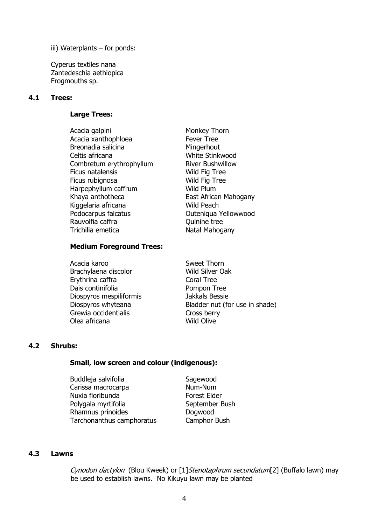iii) Waterplants – for ponds:

Cyperus textiles nana Zantedeschia aethiopica Frogmouths sp.

### 4.1 Trees:

### Large Trees:

Acacia galpini Monkey Thorn Acacia xanthophloea Fever Tree Breonadia salicina Mingerhout Celtis africana White Stinkwood Combretum erythrophyllum River Bushwillow Ficus natalensis Wild Fig Tree Ficus rubignosa Wild Fig Tree Harpephyllum caffrum Wild Plum Khaya anthotheca **East African Mahogany** Kiggelaria africana **Wild Peach** Podocarpus falcatus **Calculatus** Outeniqua Yellowwood Rauvolfia caffra **Canada Execute Contracts** Ouinine tree Trichilia emetica Natal Mahogany

## Medium Foreground Trees:

Acacia karoo Sweet Thorn Brachylaena discolor Wild Silver Oak Erythrina caffra Coral Tree Dais continifolia entrancement of the Pompon Tree Diospyros mespiliformis Jakkals Bessie Grewia occidentialis<br>
Olea africana<br>
Olea africana Olea africana

Diospyros whyteana Bladder nut (for use in shade)

### 4.2 Shrubs:

### Small, low screen and colour (indigenous):

- Buddleja salvifolia Sagewood Carissa macrocarpa Mum-Num Nuxia floribunda Forest Elder Polygala myrtifolia September Bush Rhamnus prinoides **Dogwood** Tarchonanthus camphoratus Camphor Bush
	-

### 4.3 Lawns

Cynodon dactylon (Blou Kweek) or [1] Stenotaphrum secundatum[2] (Buffalo lawn) may be used to establish lawns. No Kikuyu lawn may be planted